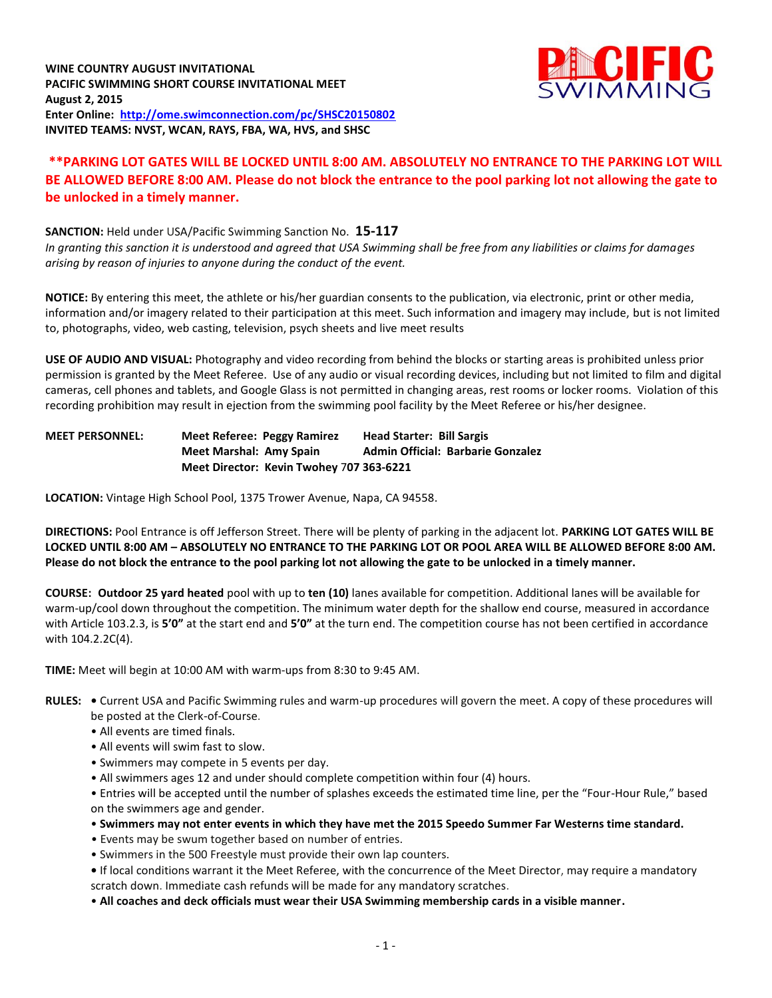

## **\*\*PARKING LOT GATES WILL BE LOCKED UNTIL 8:00 AM. ABSOLUTELY NO ENTRANCE TO THE PARKING LOT WILL BE ALLOWED BEFORE 8:00 AM. Please do not block the entrance to the pool parking lot not allowing the gate to be unlocked in a timely manner.**

#### **SANCTION:** Held under USA/Pacific Swimming Sanction No. **15-117**

*In granting this sanction it is understood and agreed that USA Swimming shall be free from any liabilities or claims for damages arising by reason of injuries to anyone during the conduct of the event.*

**NOTICE:** By entering this meet, the athlete or his/her guardian consents to the publication, via electronic, print or other media, information and/or imagery related to their participation at this meet. Such information and imagery may include, but is not limited to, photographs, video, web casting, television, psych sheets and live meet results

**USE OF AUDIO AND VISUAL:** Photography and video recording from behind the blocks or starting areas is prohibited unless prior permission is granted by the Meet Referee. Use of any audio or visual recording devices, including but not limited to film and digital cameras, cell phones and tablets, and Google Glass is not permitted in changing areas, rest rooms or locker rooms. Violation of this recording prohibition may result in ejection from the swimming pool facility by the Meet Referee or his/her designee.

## **MEET PERSONNEL: Meet Referee: Peggy Ramirez Head Starter: Bill Sargis** Meet Marshal: Amy Spain Admin Official: Barbarie Gonzalez **Meet Director: Kevin Twohey** 7**07 363-6221**

**LOCATION:** Vintage High School Pool, 1375 Trower Avenue, Napa, CA 94558.

**DIRECTIONS:** Pool Entrance is off Jefferson Street. There will be plenty of parking in the adjacent lot. **PARKING LOT GATES WILL BE LOCKED UNTIL 8:00 AM – ABSOLUTELY NO ENTRANCE TO THE PARKING LOT OR POOL AREA WILL BE ALLOWED BEFORE 8:00 AM. Please do not block the entrance to the pool parking lot not allowing the gate to be unlocked in a timely manner.**

**COURSE: Outdoor 25 yard heated** pool with up to **ten (10)** lanes available for competition. Additional lanes will be available for warm-up/cool down throughout the competition. The minimum water depth for the shallow end course, measured in accordance with Article 103.2.3, is **5'0"** at the start end and **5'0"** at the turn end. The competition course has not been certified in accordance with 104.2.2C(4).

**TIME:** Meet will begin at 10:00 AM with warm-ups from 8:30 to 9:45 AM.

- **RULES:** Current USA and Pacific Swimming rules and warm-up procedures will govern the meet. A copy of these procedures will be posted at the Clerk-of-Course.
	- All events are timed finals.
	- All events will swim fast to slow.
	- Swimmers may compete in 5 events per day.
	- All swimmers ages 12 and under should complete competition within four (4) hours.

• Entries will be accepted until the number of splashes exceeds the estimated time line, per the "Four-Hour Rule," based on the swimmers age and gender.

- **Swimmers may not enter events in which they have met the 2015 Speedo Summer Far Westerns time standard.**
- Events may be swum together based on number of entries.
- Swimmers in the 500 Freestyle must provide their own lap counters.

**•** If local conditions warrant it the Meet Referee, with the concurrence of the Meet Director, may require a mandatory scratch down. Immediate cash refunds will be made for any mandatory scratches.

• **All coaches and deck officials must wear their USA Swimming membership cards in a visible manner.**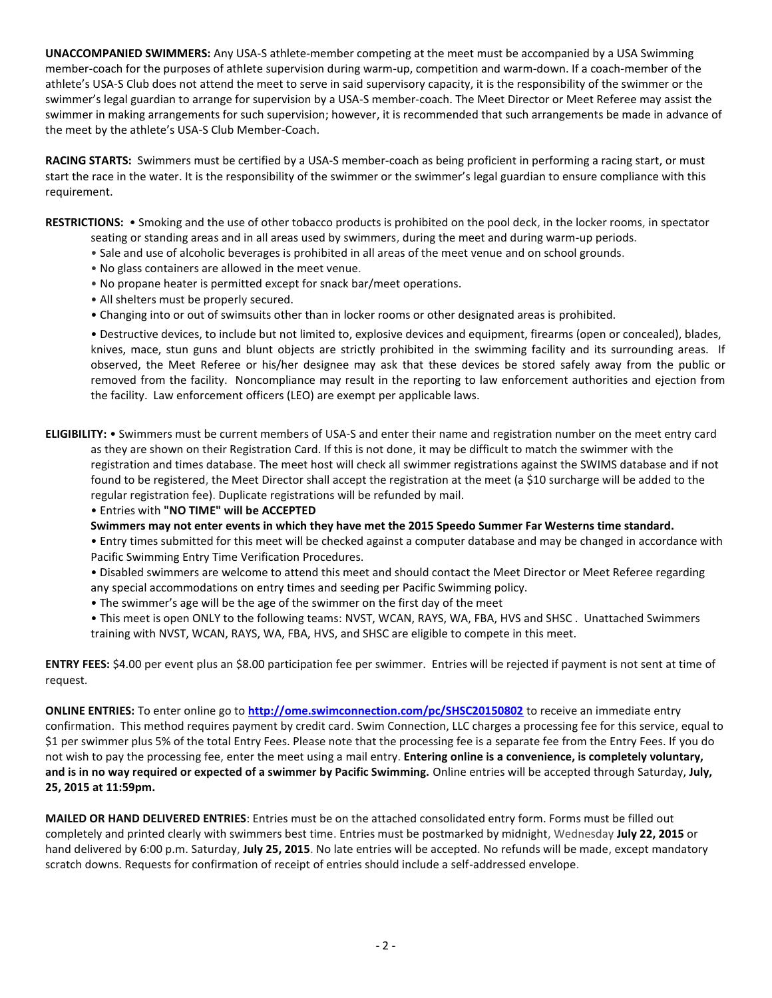**UNACCOMPANIED SWIMMERS:** Any USA-S athlete-member competing at the meet must be accompanied by a USA Swimming member-coach for the purposes of athlete supervision during warm-up, competition and warm-down. If a coach-member of the athlete's USA-S Club does not attend the meet to serve in said supervisory capacity, it is the responsibility of the swimmer or the swimmer's legal guardian to arrange for supervision by a USA-S member-coach. The Meet Director or Meet Referee may assist the swimmer in making arrangements for such supervision; however, it is recommended that such arrangements be made in advance of the meet by the athlete's USA-S Club Member-Coach.

**RACING STARTS:** Swimmers must be certified by a USA-S member-coach as being proficient in performing a racing start, or must start the race in the water. It is the responsibility of the swimmer or the swimmer's legal guardian to ensure compliance with this requirement.

**RESTRICTIONS:** • Smoking and the use of other tobacco products is prohibited on the pool deck, in the locker rooms, in spectator seating or standing areas and in all areas used by swimmers, during the meet and during warm-up periods.

- Sale and use of alcoholic beverages is prohibited in all areas of the meet venue and on school grounds.
- No glass containers are allowed in the meet venue.
- No propane heater is permitted except for snack bar/meet operations.
- All shelters must be properly secured.
- Changing into or out of swimsuits other than in locker rooms or other designated areas is prohibited.

• Destructive devices, to include but not limited to, explosive devices and equipment, firearms (open or concealed), blades, knives, mace, stun guns and blunt objects are strictly prohibited in the swimming facility and its surrounding areas. If observed, the Meet Referee or his/her designee may ask that these devices be stored safely away from the public or removed from the facility. Noncompliance may result in the reporting to law enforcement authorities and ejection from the facility. Law enforcement officers (LEO) are exempt per applicable laws.

**ELIGIBILITY:** • Swimmers must be current members of USA-S and enter their name and registration number on the meet entry card as they are shown on their Registration Card. If this is not done, it may be difficult to match the swimmer with the registration and times database. The meet host will check all swimmer registrations against the SWIMS database and if not found to be registered, the Meet Director shall accept the registration at the meet (a \$10 surcharge will be added to the regular registration fee). Duplicate registrations will be refunded by mail.

• Entries with **"NO TIME" will be ACCEPTED**

**Swimmers may not enter events in which they have met the 2015 Speedo Summer Far Westerns time standard.**

• Entry times submitted for this meet will be checked against a computer database and may be changed in accordance with Pacific Swimming Entry Time Verification Procedures.

• Disabled swimmers are welcome to attend this meet and should contact the Meet Director or Meet Referee regarding any special accommodations on entry times and seeding per Pacific Swimming policy.

- The swimmer's age will be the age of the swimmer on the first day of the meet
- This meet is open ONLY to the following teams: NVST, WCAN, RAYS, WA, FBA, HVS and SHSC . Unattached Swimmers training with NVST, WCAN, RAYS, WA, FBA, HVS, and SHSC are eligible to compete in this meet.

**ENTRY FEES:** \$4.00 per event plus an \$8.00 participation fee per swimmer. Entries will be rejected if payment is not sent at time of request.

**ONLINE ENTRIES:** To enter online go to **<http://ome.swimconnection.com/pc/SHSC20150802>** to receive an immediate entry confirmation. This method requires payment by credit card. Swim Connection, LLC charges a processing fee for this service, equal to \$1 per swimmer plus 5% of the total Entry Fees. Please note that the processing fee is a separate fee from the Entry Fees. If you do not wish to pay the processing fee, enter the meet using a mail entry. **Entering online is a convenience, is completely voluntary, and is in no way required or expected of a swimmer by Pacific Swimming.** Online entries will be accepted through Saturday, **July, 25, 2015 at 11:59pm.**

**MAILED OR HAND DELIVERED ENTRIES**: Entries must be on the attached consolidated entry form. Forms must be filled out completely and printed clearly with swimmers best time. Entries must be postmarked by midnight, Wednesday **July 22, 2015** or hand delivered by 6:00 p.m. Saturday, **July 25, 2015**. No late entries will be accepted. No refunds will be made, except mandatory scratch downs. Requests for confirmation of receipt of entries should include a self-addressed envelope.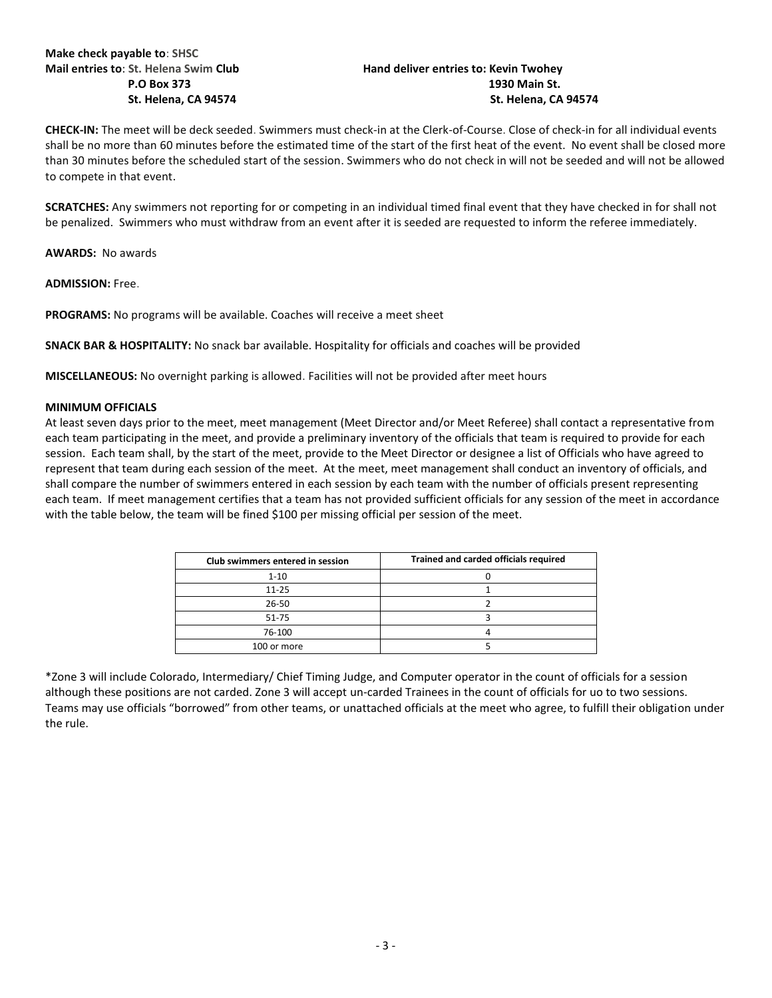## **Mail entries to**: **St. Helena Swim Club Hand deliver entries to: Kevin Twohey P.O Box 373 1930 Main St. St. Helena, CA 94574 St. Helena, CA 94574**

**CHECK-IN:** The meet will be deck seeded. Swimmers must check-in at the Clerk-of-Course. Close of check-in for all individual events shall be no more than 60 minutes before the estimated time of the start of the first heat of the event. No event shall be closed more than 30 minutes before the scheduled start of the session. Swimmers who do not check in will not be seeded and will not be allowed to compete in that event.

**SCRATCHES:** Any swimmers not reporting for or competing in an individual timed final event that they have checked in for shall not be penalized. Swimmers who must withdraw from an event after it is seeded are requested to inform the referee immediately.

**AWARDS:** No awards

**ADMISSION:** Free.

**PROGRAMS:** No programs will be available. Coaches will receive a meet sheet

**SNACK BAR & HOSPITALITY:** No snack bar available. Hospitality for officials and coaches will be provided

**MISCELLANEOUS:** No overnight parking is allowed. Facilities will not be provided after meet hours

#### **MINIMUM OFFICIALS**

At least seven days prior to the meet, meet management (Meet Director and/or Meet Referee) shall contact a representative from each team participating in the meet, and provide a preliminary inventory of the officials that team is required to provide for each session. Each team shall, by the start of the meet, provide to the Meet Director or designee a list of Officials who have agreed to represent that team during each session of the meet. At the meet, meet management shall conduct an inventory of officials, and shall compare the number of swimmers entered in each session by each team with the number of officials present representing each team. If meet management certifies that a team has not provided sufficient officials for any session of the meet in accordance with the table below, the team will be fined \$100 per missing official per session of the meet.

| Club swimmers entered in session | Trained and carded officials required |  |  |  |  |  |
|----------------------------------|---------------------------------------|--|--|--|--|--|
| $1 - 10$                         |                                       |  |  |  |  |  |
| $11 - 25$                        |                                       |  |  |  |  |  |
| 26-50                            |                                       |  |  |  |  |  |
| 51-75                            |                                       |  |  |  |  |  |
| 76-100                           |                                       |  |  |  |  |  |
| 100 or more                      |                                       |  |  |  |  |  |

\*Zone 3 will include Colorado, Intermediary/ Chief Timing Judge, and Computer operator in the count of officials for a session although these positions are not carded. Zone 3 will accept un-carded Trainees in the count of officials for uo to two sessions. Teams may use officials "borrowed" from other teams, or unattached officials at the meet who agree, to fulfill their obligation under the rule.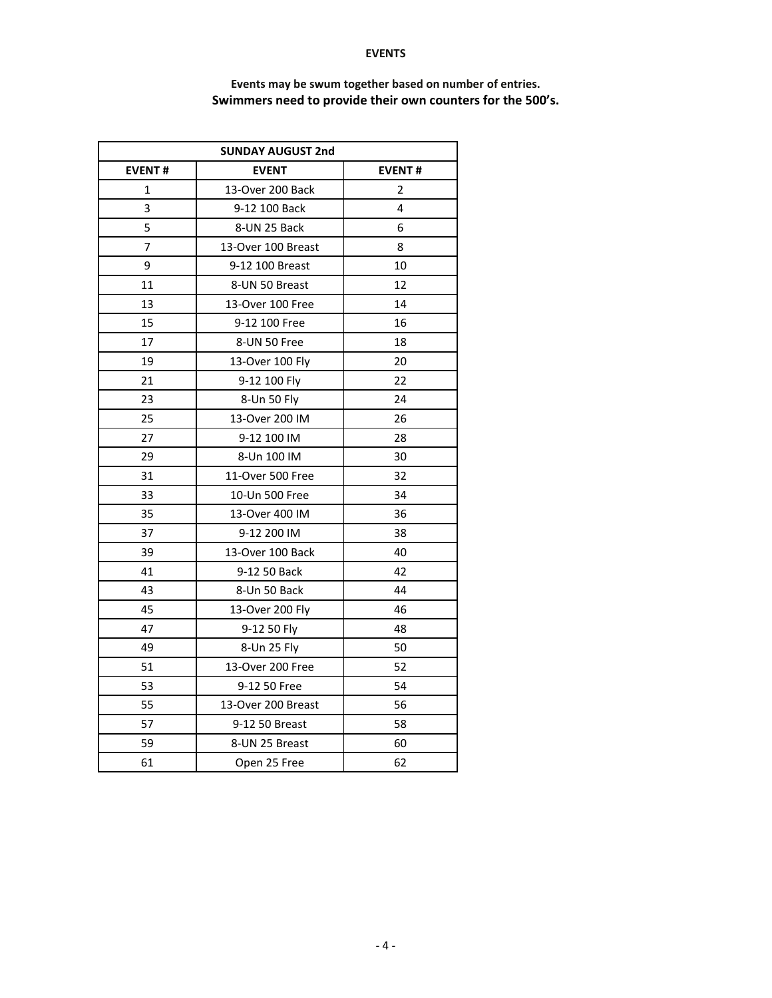#### **EVENTS**

| <b>SUNDAY AUGUST 2nd</b> |                    |                |  |  |  |  |  |
|--------------------------|--------------------|----------------|--|--|--|--|--|
| <b>EVENT#</b>            | <b>EVENT</b>       | <b>EVENT#</b>  |  |  |  |  |  |
| $\mathbf{1}$             | 13-Over 200 Back   | $\overline{2}$ |  |  |  |  |  |
| 3                        | 9-12 100 Back      | 4              |  |  |  |  |  |
| 5                        | 8-UN 25 Back       | 6              |  |  |  |  |  |
| 7                        | 13-Over 100 Breast | 8              |  |  |  |  |  |
| 9                        | 9-12 100 Breast    | 10             |  |  |  |  |  |
| 11                       | 8-UN 50 Breast     | 12             |  |  |  |  |  |
| 13                       | 13-Over 100 Free   | 14             |  |  |  |  |  |
| 15                       | 9-12 100 Free      | 16             |  |  |  |  |  |
| 17                       | 8-UN 50 Free       | 18             |  |  |  |  |  |
| 19                       | 13-Over 100 Fly    | 20             |  |  |  |  |  |
| 21                       | 9-12 100 Fly       | 22             |  |  |  |  |  |
| 23                       | 8-Un 50 Fly        | 24             |  |  |  |  |  |
| 25                       | 13-Over 200 IM     | 26             |  |  |  |  |  |
| 27                       | 9-12 100 IM        | 28             |  |  |  |  |  |
| 29                       | 8-Un 100 IM        | 30             |  |  |  |  |  |
| 31                       | 11-Over 500 Free   | 32             |  |  |  |  |  |
| 33                       | 10-Un 500 Free     | 34             |  |  |  |  |  |
| 35                       | 13-Over 400 IM     | 36             |  |  |  |  |  |
| 37                       | 9-12 200 IM        | 38             |  |  |  |  |  |
| 39                       | 13-Over 100 Back   | 40             |  |  |  |  |  |
| 41                       | 9-12 50 Back       | 42             |  |  |  |  |  |
| 43                       | 8-Un 50 Back       | 44             |  |  |  |  |  |
| 45                       | 13-Over 200 Fly    | 46             |  |  |  |  |  |
| 47                       | 9-12 50 Fly        | 48             |  |  |  |  |  |
| 49                       | 8-Un 25 Fly        | 50             |  |  |  |  |  |
| 51                       | 13-Over 200 Free   | 52             |  |  |  |  |  |
| 53                       | 9-12 50 Free       | 54             |  |  |  |  |  |
| 55                       | 13-Over 200 Breast | 56             |  |  |  |  |  |
| 57                       | 9-12 50 Breast     | 58             |  |  |  |  |  |
| 59                       | 8-UN 25 Breast     | 60             |  |  |  |  |  |
| 61                       | Open 25 Free       | 62             |  |  |  |  |  |

# **Events may be swum together based on number of entries. Swimmers need to provide their own counters for the 500's.**